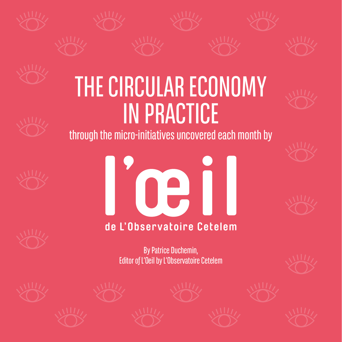



# THE CIRCULAR ECONOMY IN PRACTICE



through the micro-initiatives uncovered each month by







121

### de L'Observatoire Cetelem

By Patrice Duchemin, Editor of L'Oeil by L'Observatoire Cetelem











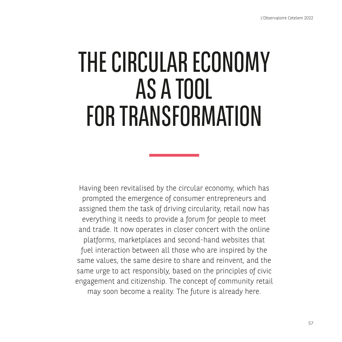# THE CIRCULAR ECONOMY AS A TOOL FOR TRANSFORMATION

Having been revitalised by the circular economy, which has prompted the emergence of consumer entrepreneurs and assigned them the task of driving circularity, retail now has everything it needs to provide a forum for people to meet and trade. It now operates in closer concert with the online platforms, marketplaces and second-hand websites that fuel interaction between all those who are inspired by the same values, the same desire to share and reinvent, and the same urge to act responsibly, based on the principles of civic engagement and citizenship. The concept of community retail may soon become a reality. The future is already here.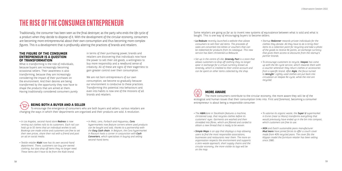# **THE RISE OF THE CONSUMER ENTREPRENEUR**

#### **THE FIGURE OF THE CONSUMER ENTREPRENEUR IS A QUESTION OF TRANSFORMATION**

What is transforming is the role of individuals, because buyers are increasingly becoming occasional sellers. Their awareness is also transforming, because they are increasingly considering the impact of their purchases on the environment. And their desires are being transformed by the opportunity they now have to shape the products that are aimed at them. Having traditionally considered consumers purely

in terms of their purchasing power, brands and retailers are discovering that individuals now have the power to sell their old goods, a willingness to buy more responsibly and a newfound sense of creativity. All of these are signs of their eagerness to gain greater control over their consumption.

We are not born entrepreneurs of our own consumption, we become so gradually because our environment is conducive to these practices. Transforming this potential into behaviours and even into habits is now one of the missions of all brands and retailers.

Traditionally, the consumer has been seen as the final destroyer, as the party who ends the life cycle of a product when they decide to dispose of it. With the development of the circular economy, consumers are becoming more entrepreneurial about their own consumption and thus becoming more complex figures. This is a development that is profoundly altering the practices of brands and retailers.

- *In Los Angeles, second-hand store Redress is now renting out clothes rails to its customers. Each rail can hold up to 50 items that an individual wishes to sell. Bookings are made online and customers are free to set their own prices, share their rail with a friend and post an ad on social media.*
- *Textile retailer Kiabi now has its own second-hand department. There, customers can buy pre-owned clothing, but also drop off items they no longer need. These items don't have to be from the Kiabi brand.*
- *In Metz, Lens, Forbach and Haguenau, Cora hypermarkets now feature corners where used products can be bought and sold, thanks to a partnership with the Easy Cash chain. In Belgium, the Cora hypermarket in Rocourt hosts a corner in conjunction with Cash Converters, which specialises in buying and selling second-hand items.*

The more consumers contribute to the circular economy, the more aware they will be of the ecological and human issues that their consumption links into. First and foremost, becoming a consumer



- *The H&Mstore in Stockholm features a machine, christened Loop, that recycles clothes before its customers' eyes. Garments are washed and then shredded into fibres, which are filtered and carded to obtain a new thread that is ready to be woven.*
- *Simple Maps is an app that displays a map allowing users to find the most responsible associations, businesses and restaurants near them. The more an organisation respects the environment and supports a zero-waste approach, short supply chains and the circular economy, the more visible its logo will be on the map.*
- *To valorise its organic waste, the Super U supermarket in Evron (near Le Mans) transforms everything that would previously have ended up in the bin into compost, which customers are free to use.*
- *IKEA and Dutch sustainable jeans manufacturer Mud Jeans have joined forces to offer a couch cover made from 40% recycled jeans. The cover fits the Klippan model the furniture retailer has been selling since 1980.*

### **BEING BOTH A BUYER AND A SELLER**

To encourage the emergence of consumers who are both buyers and sellers, various retailers are changing the ways in which their departments are organised and their products are sold. A revolution.

- *La Redoute recently launched a website that allows consumers to sell their old items. The proceeds of sales are converted into kitties or vouchers that can be redeemed for products from its catalogue. This new service has been christened La Reboucle.*
- *Set up in the centre of Lille, Greendy Pact is a store that allows customers to drop off clothing they no longer wear in exchange for a virtual currency known as Greendy, which is credited to their online account and can be spent on other items collected by the shop.*
- *Startup Redonner rewards private individuals for the clothes they donate. All they have to do is bring their items to a collection point for recycling and take a photo of the goods to receive Re points, an exchange currency that gives them access to discounts from the startup's partner brands.*
- *To encourage customers to recycle, Veepee has come up with the Re-cycle service, which rewards them with a voucher whenever they return clothes or accessories from a specific brand. After Aigle, the focus turned to Jennyfer. Lightly used clothes are put back into circulation on Veepee Re-cycle, while the rest are recycled.*

Some retailers are going as far as to invent new systems of equivalence between what is sold and what is bought. This is one way of encouraging buyers to become sellers.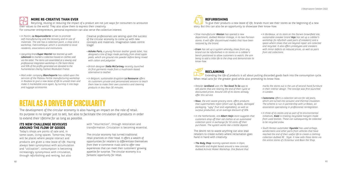The development of the circular economy is also having an impact on the role of retail. Its purpose is no longer just to sell, but also to facilitate the circulation of products in order to extend their lifetime for as long as possible.



#### **MORE RE-CREATIVE THAN EVER**

Recycling, reusing or reducing the impact of a product are not just ways for consumers to announce their values to the world. They also allow them to express their creativity. For consumer entrepreneurs, personal expression can also serve the collective interest.

- *In Pantin, La Requincaillerie strives to promote self-manufacturing and the recovery and re-use of materials. The site has a collection point, a shop and a workshop, Fabricothèque, which is accessible to local residents, associations and institutions.*
- *Upcycling brandSuper Marché has teamed up with Leboncoin to market a collection based on clothes sold via the latter. The items are assembled at a sewing and professional integration workshop in L'Île-Saint-Denis and 50% of the profits generated are donated to the humanitarian charity Fashion Revolution France.*
- *Mail order company Blancheporte has called upon the services of the Plateau Fertile manufacturing workshop in Roubaix to give a new lease of life to unsold linen and make it marketable once again, by turning it into bags and luggage accessories.*

Creative professionals are seizing upon the success of the circular economy to come up with new concepts and materials. Imagination takes centre stage!

- *Ashoka Paris, a young Parisian leather goods label, has designed a line of bags made partially from dried apple peels, which are ground into powder before being mixed with cotton and polyester.*
- *British designer Stella McCartney recently launched its first garments made from a mushroom-based alternative to leather.*
- *In Belgium, sustainable drugstore La Ressource offers its customers private and personalised sessions to teach them how to make their own cosmetics and cleaning products in less than 30 minutes.*

#### **ITS NEW CHALLENGE REVOLVES AROUND THE FLOW OF GOODS**

Today's shops are points of sale and, in some cases, living spaces. Tomorrow, they will be places where people interact and products are given a new lease of life. Having always been synonymous with accumulation and "utilisation", consumption is becoming increasingly synonymous with circulation, through refurbishing and renting, but also

# **RETAIL AS A DRIVER OF CIRCULARITY**

**REFURBISHING** To give their products a new lease of life, brands must see their stores as the beginning of a new story. But this can also be an opportunity to showcase their know-how.

- *Shoe manufacturer Weston has opened a new department, dubbed Weston Vintage, in its two Parisian stores. It will offer discontinued models that have been restored by the brand.*
- *Eram has set up a system whereby shoes from any brand can be refurbished in its stores on a cobbler's bench positioned to allow customers to watch, the aim being to add a little life to the shop and demonstrate its know-how.*

with "resurrection", through restoration and transformation. Circulation is becoming essential.

The circular economy has turned traditional retail practices on their head. It offers a wealth of opportunities for retailers to differentiate themselves from their e-commerce rivals and to offer new experiences that can meet their customers' growing appetite for surprise. The circular economy is a fantastic opportunity for retail.

*• In Bordeaux, at its store on the Darwin brownfield site, sustainable sneaker brand Veja has set up a cobbler's workshop (to refurbish used pairs of sneakers) and a space where shoes that are beyond repair are collected and recycled. It also offers prototypes and sneakers with minor defects at reduced prices, as well as pairs from old collections.*

### **RECLAIMING**

Extending the life of products is all about putting discarded goods back into the consumption cycle. When retail acts for the greater good while also promoting its know-how.

- *Retailer Jardiland uses the Too Good To Go app to sell plants that are nearing the end of their cycle at discounted prices. Around 100 of its stores already offer this service.*
- *Nous, the anti-waste grocery store, offers products that supermarkets reject (short use-by dates, damaged packaging, "ugly" fruit and vegetables), as well as surplus production, at an average discount of 30%.*
- *In the Netherlands, one Albert Heijn store suggests that customers drop off their old clothes at an automated collection point in exchange for 50 cents off their purchases. The system works like a bottle deposit.*

The desire not to waste anything can also lead retailers to create outlets where reclamation goes hand in hand with creativity.

*• The Body Shop recently opened stores in Dijon, Marseille and Anglet based around a new concept, dubbed Activist Maker Workshop. One feature that*  *marks the stores out is the use of second-hand furniture in their interior design. The concept was first launched in London.*

- *Castorama offers a collection service for old jeans, which are turned into acoustic and thermal insulation. The scheme is run in partnership with Le Relais, an association specialising in professional reintegration.*
- *In three of its stores and as part of its environmental initiatives, Kiabi is trialling recyclable hangers made from used textiles. These can subsequently be collected to be recycled anew.*
- *South Korean automaker Hyundai has used airbags, windscreens and other parts from vehicles that have reached the end of their useful life to create a clothing collection dubbed RE : Style. It now sells these items via the online stores of L'Eclaireur and Boon the Shop.*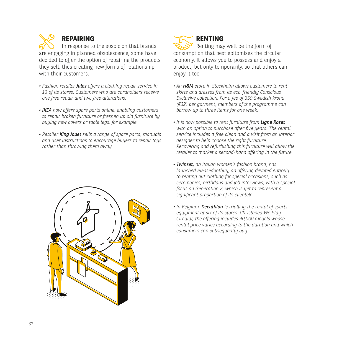#### **REPAIRING**

In response to the suspicion that brands are engaging in planned obsolescence, some have decided to offer the option of repairing the products they sell, thus creating new forms of relationship with their customers.

- *Fashion retailer Jules offers a clothing repair service in 13 of its stores. Customers who are cardholders receive one free repair and two free alterations.*
- *IKEA now offers spare parts online, enabling customers to repair broken furniture or freshen up old furniture by buying new covers or table legs, for example.*
- *Retailer King Jouet sells a range of spare parts, manuals and user instructions to encourage buyers to repair toys rather than throwing them away.*



**RENTING** Renting may well be the form of consumption that best epitomises the circular economy. It allows you to possess and enjoy a product, but only temporarily, so that others can enjoy it too.

- *An H&M store in Stockholm allows customers to rent skirts and dresses from its eco-friendly Conscious Exclusive collection. For a fee of 350 Swedish krona (€32) per garment, members of the programme can borrow up to three items for one week.*
- *It is now possible to rent furniture from Ligne Roset with an option to purchase after five years. The rental service includes a free clean and a visit from an interior designer to help choose the right furniture. Recovering and refurbishing this furniture will allow the retailer to market a second-hand offering in the future.*
- *Twinset, an Italian women's fashion brand, has launched Pleasedontbuy, an offering devoted entirely to renting out clothing for special occasions, such as ceremonies, birthdays and job interviews, with a special focus on Generation Z, which is yet to represent a significant proportion of its clientele.*
- *In Belgium, Decathlon is trialling the rental of sports equipment at six of its stores. Christened We Play Circular, the offering includes 40,000 models whose rental price varies according to the duration and which consumers can subsequently buy.*